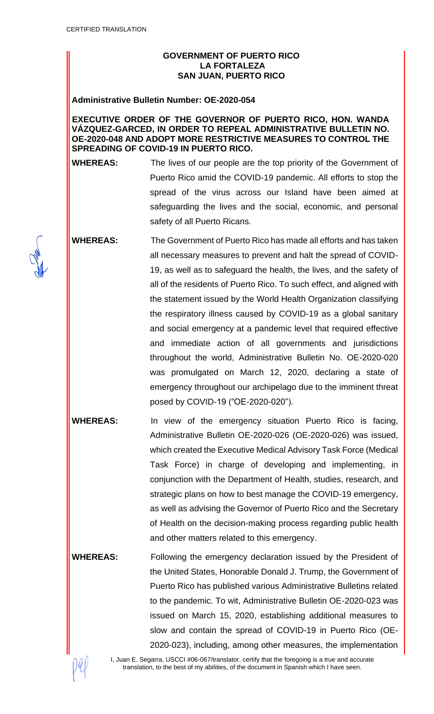## **GOVERNMENT OF PUERTO RICO LA FORTALEZA SAN JUAN, PUERTO RICO**

#### **Administrative Bulletin Number: OE-2020-054**

#### **EXECUTIVE ORDER OF THE GOVERNOR OF PUERTO RICO, HON. WANDA VÁZQUEZ-GARCED, IN ORDER TO REPEAL ADMINISTRATIVE BULLETIN NO. OE-2020-048 AND ADOPT MORE RESTRICTIVE MEASURES TO CONTROL THE SPREADING OF COVID-19 IN PUERTO RICO.**

**WHEREAS:** The lives of our people are the top priority of the Government of Puerto Rico amid the COVID-19 pandemic. All efforts to stop the spread of the virus across our Island have been aimed at safeguarding the lives and the social, economic, and personal safety of all Puerto Ricans.

**WHEREAS:** The Government of Puerto Rico has made all efforts and has taken all necessary measures to prevent and halt the spread of COVID-19, as well as to safeguard the health, the lives, and the safety of all of the residents of Puerto Rico. To such effect, and aligned with the statement issued by the World Health Organization classifying the respiratory illness caused by COVID-19 as a global sanitary and social emergency at a pandemic level that required effective and immediate action of all governments and jurisdictions throughout the world, Administrative Bulletin No. OE-2020-020 was promulgated on March 12, 2020, declaring a state of emergency throughout our archipelago due to the imminent threat posed by COVID-19 ("OE-2020-020").

**WHEREAS:** In view of the emergency situation Puerto Rico is facing, Administrative Bulletin OE-2020-026 (OE-2020-026) was issued, which created the Executive Medical Advisory Task Force (Medical Task Force) in charge of developing and implementing, in conjunction with the Department of Health, studies, research, and strategic plans on how to best manage the COVID-19 emergency, as well as advising the Governor of Puerto Rico and the Secretary of Health on the decision-making process regarding public health and other matters related to this emergency.

**WHEREAS:** Following the emergency declaration issued by the President of the United States, Honorable Donald J. Trump, the Government of Puerto Rico has published various Administrative Bulletins related to the pandemic. To wit, Administrative Bulletin OE-2020-023 was issued on March 15, 2020, establishing additional measures to slow and contain the spread of COVID-19 in Puerto Rico (OE-2020-023), including, among other measures, the implementation



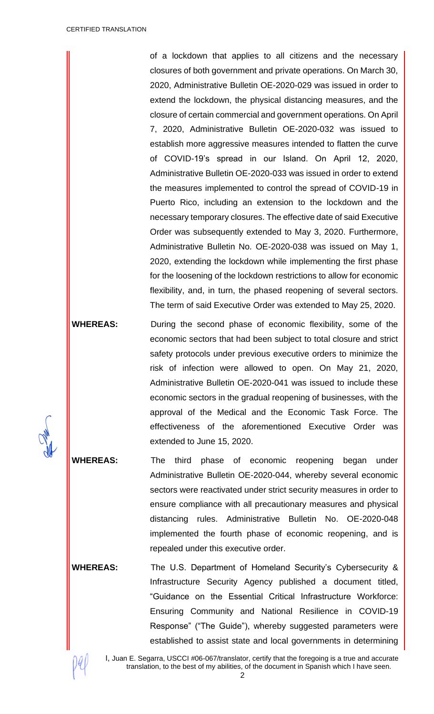of a lockdown that applies to all citizens and the necessary closures of both government and private operations. On March 30, 2020, Administrative Bulletin OE-2020-029 was issued in order to extend the lockdown, the physical distancing measures, and the closure of certain commercial and government operations. On April 7, 2020, Administrative Bulletin OE-2020-032 was issued to establish more aggressive measures intended to flatten the curve of COVID-19's spread in our Island. On April 12, 2020, Administrative Bulletin OE-2020-033 was issued in order to extend the measures implemented to control the spread of COVID-19 in Puerto Rico, including an extension to the lockdown and the necessary temporary closures. The effective date of said Executive Order was subsequently extended to May 3, 2020. Furthermore, Administrative Bulletin No. OE-2020-038 was issued on May 1, 2020, extending the lockdown while implementing the first phase for the loosening of the lockdown restrictions to allow for economic flexibility, and, in turn, the phased reopening of several sectors. The term of said Executive Order was extended to May 25, 2020.

**WHEREAS:** During the second phase of economic flexibility, some of the economic sectors that had been subject to total closure and strict safety protocols under previous executive orders to minimize the risk of infection were allowed to open. On May 21, 2020, Administrative Bulletin OE-2020-041 was issued to include these economic sectors in the gradual reopening of businesses, with the approval of the Medical and the Economic Task Force. The effectiveness of the aforementioned Executive Order was extended to June 15, 2020.

**WHEREAS:** The third phase of economic reopening began under Administrative Bulletin OE-2020-044, whereby several economic sectors were reactivated under strict security measures in order to ensure compliance with all precautionary measures and physical distancing rules. Administrative Bulletin No. OE-2020-048 implemented the fourth phase of economic reopening, and is repealed under this executive order.

**WHEREAS:** The U.S. Department of Homeland Security's Cybersecurity & Infrastructure Security Agency published a document titled, "Guidance on the Essential Critical Infrastructure Workforce: Ensuring Community and National Resilience in COVID-19 Response" ("The Guide"), whereby suggested parameters were established to assist state and local governments in determining

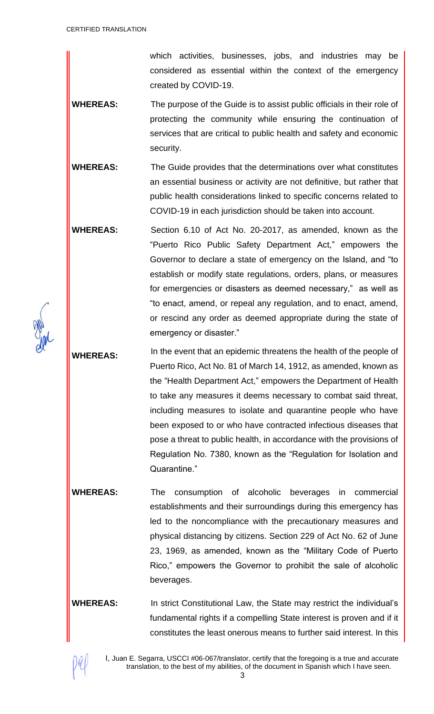which activities, businesses, jobs, and industries may be considered as essential within the context of the emergency created by COVID-19.

**WHEREAS:** The purpose of the Guide is to assist public officials in their role of protecting the community while ensuring the continuation of services that are critical to public health and safety and economic security.

**WHEREAS:** The Guide provides that the determinations over what constitutes an essential business or activity are not definitive, but rather that public health considerations linked to specific concerns related to COVID-19 in each jurisdiction should be taken into account.

**WHEREAS:** Section 6.10 of Act No. 20-2017, as amended, known as the "Puerto Rico Public Safety Department Act," empowers the Governor to declare a state of emergency on the Island, and "to establish or modify state regulations, orders, plans, or measures for emergencies or disasters as deemed necessary," as well as "to enact, amend, or repeal any regulation, and to enact, amend, or rescind any order as deemed appropriate during the state of emergency or disaster."

WHEREAS: In the event that an epidemic threatens the health of the people of Puerto Rico, Act No. 81 of March 14, 1912, as amended, known as the "Health Department Act," empowers the Department of Health to take any measures it deems necessary to combat said threat, including measures to isolate and quarantine people who have been exposed to or who have contracted infectious diseases that pose a threat to public health, in accordance with the provisions of Regulation No. 7380, known as the "Regulation for Isolation and Quarantine."

**WHEREAS:** The consumption of alcoholic beverages in commercial establishments and their surroundings during this emergency has led to the noncompliance with the precautionary measures and physical distancing by citizens. Section 229 of Act No. 62 of June 23, 1969, as amended, known as the "Military Code of Puerto Rico," empowers the Governor to prohibit the sale of alcoholic beverages.

**WHEREAS:** In strict Constitutional Law, the State may restrict the individual's fundamental rights if a compelling State interest is proven and if it constitutes the least onerous means to further said interest. In this

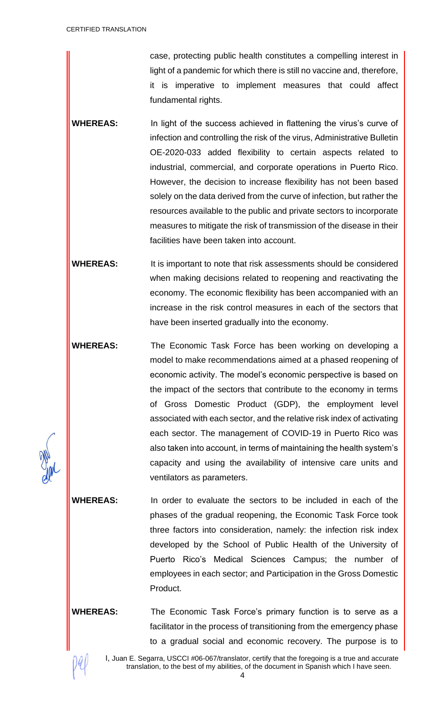case, protecting public health constitutes a compelling interest in light of a pandemic for which there is still no vaccine and, therefore, it is imperative to implement measures that could affect fundamental rights.

- **WHEREAS:** In light of the success achieved in flattening the virus's curve of infection and controlling the risk of the virus, Administrative Bulletin OE-2020-033 added flexibility to certain aspects related to industrial, commercial, and corporate operations in Puerto Rico. However, the decision to increase flexibility has not been based solely on the data derived from the curve of infection, but rather the resources available to the public and private sectors to incorporate measures to mitigate the risk of transmission of the disease in their facilities have been taken into account.
- **WHEREAS:** It is important to note that risk assessments should be considered when making decisions related to reopening and reactivating the economy. The economic flexibility has been accompanied with an increase in the risk control measures in each of the sectors that have been inserted gradually into the economy.
- **WHEREAS:** The Economic Task Force has been working on developing a model to make recommendations aimed at a phased reopening of economic activity. The model's economic perspective is based on the impact of the sectors that contribute to the economy in terms of Gross Domestic Product (GDP), the employment level associated with each sector, and the relative risk index of activating each sector. The management of COVID-19 in Puerto Rico was also taken into account, in terms of maintaining the health system's capacity and using the availability of intensive care units and ventilators as parameters.

**WHEREAS:** In order to evaluate the sectors to be included in each of the phases of the gradual reopening, the Economic Task Force took three factors into consideration, namely: the infection risk index developed by the School of Public Health of the University of Puerto Rico's Medical Sciences Campus; the number of employees in each sector; and Participation in the Gross Domestic Product.

**WHEREAS:** The Economic Task Force's primary function is to serve as a facilitator in the process of transitioning from the emergency phase to a gradual social and economic recovery. The purpose is to

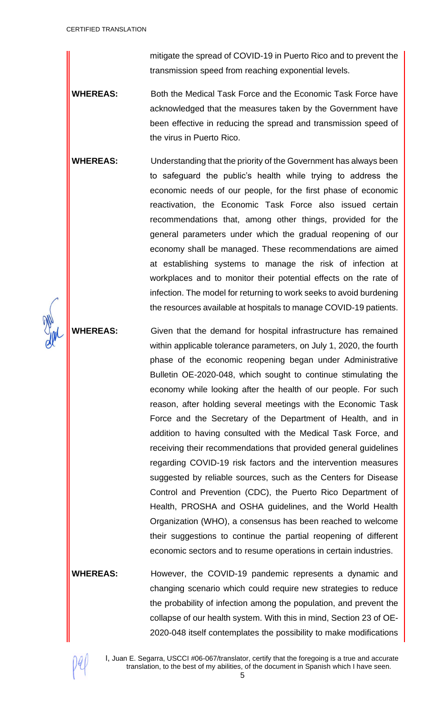mitigate the spread of COVID-19 in Puerto Rico and to prevent the transmission speed from reaching exponential levels.

- WHEREAS: Both the Medical Task Force and the Economic Task Force have acknowledged that the measures taken by the Government have been effective in reducing the spread and transmission speed of the virus in Puerto Rico.
- **WHEREAS:** Understanding that the priority of the Government has always been to safeguard the public's health while trying to address the economic needs of our people, for the first phase of economic reactivation, the Economic Task Force also issued certain recommendations that, among other things, provided for the general parameters under which the gradual reopening of our economy shall be managed. These recommendations are aimed at establishing systems to manage the risk of infection at workplaces and to monitor their potential effects on the rate of infection. The model for returning to work seeks to avoid burdening the resources available at hospitals to manage COVID-19 patients.

**WHEREAS:** Given that the demand for hospital infrastructure has remained within applicable tolerance parameters, on July 1, 2020, the fourth phase of the economic reopening began under Administrative Bulletin OE-2020-048, which sought to continue stimulating the economy while looking after the health of our people. For such reason, after holding several meetings with the Economic Task Force and the Secretary of the Department of Health, and in addition to having consulted with the Medical Task Force, and receiving their recommendations that provided general guidelines regarding COVID-19 risk factors and the intervention measures suggested by reliable sources, such as the Centers for Disease Control and Prevention (CDC), the Puerto Rico Department of Health, PROSHA and OSHA guidelines, and the World Health Organization (WHO), a consensus has been reached to welcome their suggestions to continue the partial reopening of different economic sectors and to resume operations in certain industries.

**WHEREAS:** However, the COVID-19 pandemic represents a dynamic and changing scenario which could require new strategies to reduce the probability of infection among the population, and prevent the collapse of our health system. With this in mind, Section 23 of OE-2020-048 itself contemplates the possibility to make modifications

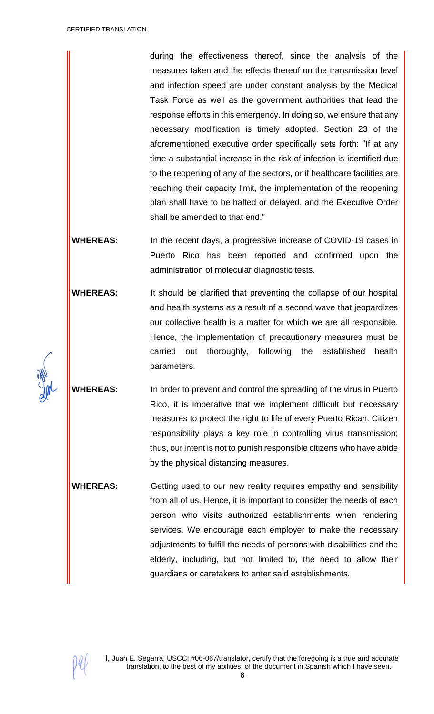during the effectiveness thereof, since the analysis of the measures taken and the effects thereof on the transmission level and infection speed are under constant analysis by the Medical Task Force as well as the government authorities that lead the response efforts in this emergency. In doing so, we ensure that any necessary modification is timely adopted. Section 23 of the aforementioned executive order specifically sets forth: "If at any time a substantial increase in the risk of infection is identified due to the reopening of any of the sectors, or if healthcare facilities are reaching their capacity limit, the implementation of the reopening plan shall have to be halted or delayed, and the Executive Order shall be amended to that end."

**WHEREAS:** In the recent days, a progressive increase of COVID-19 cases in Puerto Rico has been reported and confirmed upon the administration of molecular diagnostic tests.

**WHEREAS:** It should be clarified that preventing the collapse of our hospital and health systems as a result of a second wave that jeopardizes our collective health is a matter for which we are all responsible. Hence, the implementation of precautionary measures must be carried out thoroughly, following the established health parameters.

**WHEREAS:** In order to prevent and control the spreading of the virus in Puerto Rico, it is imperative that we implement difficult but necessary measures to protect the right to life of every Puerto Rican. Citizen responsibility plays a key role in controlling virus transmission; thus, our intent is not to punish responsible citizens who have abide by the physical distancing measures.

**WHEREAS:** Getting used to our new reality requires empathy and sensibility from all of us. Hence, it is important to consider the needs of each person who visits authorized establishments when rendering services. We encourage each employer to make the necessary adjustments to fulfill the needs of persons with disabilities and the elderly, including, but not limited to, the need to allow their guardians or caretakers to enter said establishments.

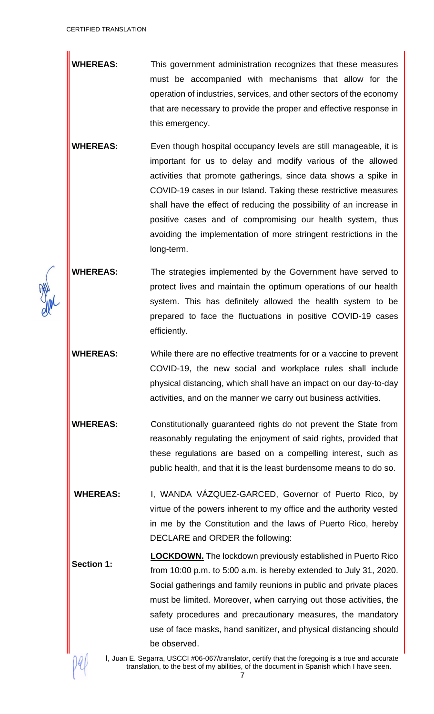**WHEREAS:** This government administration recognizes that these measures must be accompanied with mechanisms that allow for the operation of industries, services, and other sectors of the economy that are necessary to provide the proper and effective response in this emergency.

**WHEREAS:** Even though hospital occupancy levels are still manageable, it is important for us to delay and modify various of the allowed activities that promote gatherings, since data shows a spike in COVID-19 cases in our Island. Taking these restrictive measures shall have the effect of reducing the possibility of an increase in positive cases and of compromising our health system, thus avoiding the implementation of more stringent restrictions in the long-term.

**WHEREAS:** The strategies implemented by the Government have served to protect lives and maintain the optimum operations of our health system. This has definitely allowed the health system to be prepared to face the fluctuations in positive COVID-19 cases efficiently.

**WHEREAS:** While there are no effective treatments for or a vaccine to prevent COVID-19, the new social and workplace rules shall include physical distancing, which shall have an impact on our day-to-day activities, and on the manner we carry out business activities.

**WHEREAS:** Constitutionally guaranteed rights do not prevent the State from reasonably regulating the enjoyment of said rights, provided that these regulations are based on a compelling interest, such as public health, and that it is the least burdensome means to do so.

**WHEREAS:** I, WANDA VÁZQUEZ-GARCED, Governor of Puerto Rico, by virtue of the powers inherent to my office and the authority vested in me by the Constitution and the laws of Puerto Rico, hereby DECLARE and ORDER the following:

**Section 1: LOCKDOWN.** The lockdown previously established in Puerto Rico from 10:00 p.m. to 5:00 a.m. is hereby extended to July 31, 2020. Social gatherings and family reunions in public and private places must be limited. Moreover, when carrying out those activities, the safety procedures and precautionary measures, the mandatory use of face masks, hand sanitizer, and physical distancing should be observed.

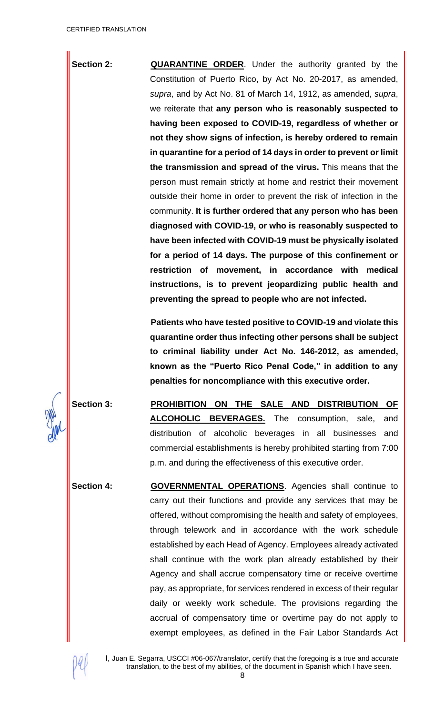**Section 2: <b>QUARANTINE** ORDER. Under the authority granted by the Constitution of Puerto Rico, by Act No. 20-2017, as amended, *supra*, and by Act No. 81 of March 14, 1912, as amended, *supra*, we reiterate that **any person who is reasonably suspected to having been exposed to COVID-19, regardless of whether or not they show signs of infection, is hereby ordered to remain in quarantine for a period of 14 days in order to prevent or limit the transmission and spread of the virus.** This means that the person must remain strictly at home and restrict their movement outside their home in order to prevent the risk of infection in the community. **It is further ordered that any person who has been diagnosed with COVID-19, or who is reasonably suspected to have been infected with COVID-19 must be physically isolated for a period of 14 days. The purpose of this confinement or restriction of movement, in accordance with medical instructions, is to prevent jeopardizing public health and preventing the spread to people who are not infected.**

> **Patients who have tested positive to COVID-19 and violate this quarantine order thus infecting other persons shall be subject to criminal liability under Act No. 146-2012, as amended, known as the "Puerto Rico Penal Code," in addition to any penalties for noncompliance with this executive order.**

**Section 3: PROHIBITION ON THE SALE AND DISTRIBUTION OF ALCOHOLIC BEVERAGES.** The consumption, sale, and distribution of alcoholic beverages in all businesses and commercial establishments is hereby prohibited starting from 7:00 p.m. and during the effectiveness of this executive order.

**Section 4: GOVERNMENTAL OPERATIONS**. Agencies shall continue to carry out their functions and provide any services that may be offered, without compromising the health and safety of employees, through telework and in accordance with the work schedule established by each Head of Agency. Employees already activated shall continue with the work plan already established by their Agency and shall accrue compensatory time or receive overtime pay, as appropriate, for services rendered in excess of their regular daily or weekly work schedule. The provisions regarding the accrual of compensatory time or overtime pay do not apply to exempt employees, as defined in the Fair Labor Standards Act

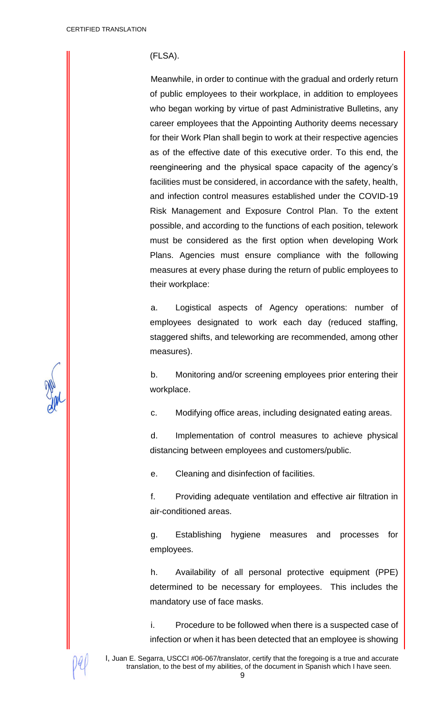#### (FLSA).

Meanwhile, in order to continue with the gradual and orderly return of public employees to their workplace, in addition to employees who began working by virtue of past Administrative Bulletins, any career employees that the Appointing Authority deems necessary for their Work Plan shall begin to work at their respective agencies as of the effective date of this executive order. To this end, the reengineering and the physical space capacity of the agency's facilities must be considered, in accordance with the safety, health, and infection control measures established under the COVID-19 Risk Management and Exposure Control Plan. To the extent possible, and according to the functions of each position, telework must be considered as the first option when developing Work Plans. Agencies must ensure compliance with the following measures at every phase during the return of public employees to their workplace:

a. Logistical aspects of Agency operations: number of employees designated to work each day (reduced staffing, staggered shifts, and teleworking are recommended, among other measures).

b. Monitoring and/or screening employees prior entering their workplace.

c. Modifying office areas, including designated eating areas.

d. Implementation of control measures to achieve physical distancing between employees and customers/public.

e. Cleaning and disinfection of facilities.

f. Providing adequate ventilation and effective air filtration in air-conditioned areas.

g. Establishing hygiene measures and processes for employees.

h. Availability of all personal protective equipment (PPE) determined to be necessary for employees. This includes the mandatory use of face masks.

i. Procedure to be followed when there is a suspected case of infection or when it has been detected that an employee is showing

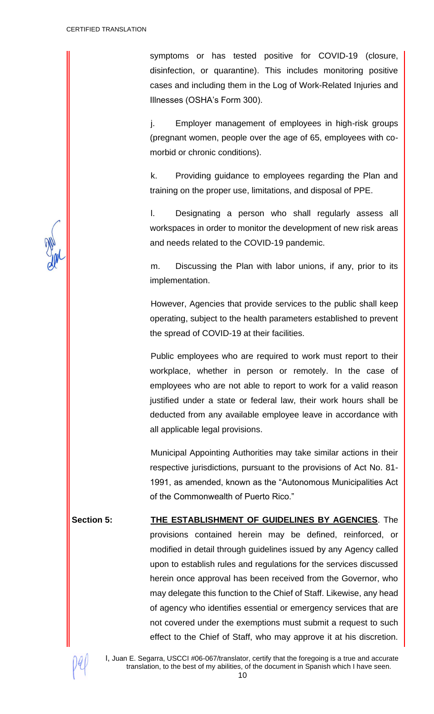symptoms or has tested positive for COVID-19 (closure, disinfection, or quarantine). This includes monitoring positive cases and including them in the Log of Work-Related Injuries and Illnesses (OSHA's Form 300).

j. Employer management of employees in high-risk groups (pregnant women, people over the age of 65, employees with comorbid or chronic conditions).

k. Providing guidance to employees regarding the Plan and training on the proper use, limitations, and disposal of PPE.

l. Designating a person who shall regularly assess all workspaces in order to monitor the development of new risk areas and needs related to the COVID-19 pandemic.

m. Discussing the Plan with labor unions, if any, prior to its implementation.

However, Agencies that provide services to the public shall keep operating, subject to the health parameters established to prevent the spread of COVID-19 at their facilities.

Public employees who are required to work must report to their workplace, whether in person or remotely. In the case of employees who are not able to report to work for a valid reason justified under a state or federal law, their work hours shall be deducted from any available employee leave in accordance with all applicable legal provisions.

Municipal Appointing Authorities may take similar actions in their respective jurisdictions, pursuant to the provisions of Act No. 81- 1991, as amended, known as the "Autonomous Municipalities Act of the Commonwealth of Puerto Rico."

**Section 5: THE ESTABLISHMENT OF GUIDELINES BY AGENCIES**. The provisions contained herein may be defined, reinforced, or modified in detail through guidelines issued by any Agency called upon to establish rules and regulations for the services discussed herein once approval has been received from the Governor, who may delegate this function to the Chief of Staff. Likewise, any head of agency who identifies essential or emergency services that are not covered under the exemptions must submit a request to such effect to the Chief of Staff, who may approve it at his discretion.

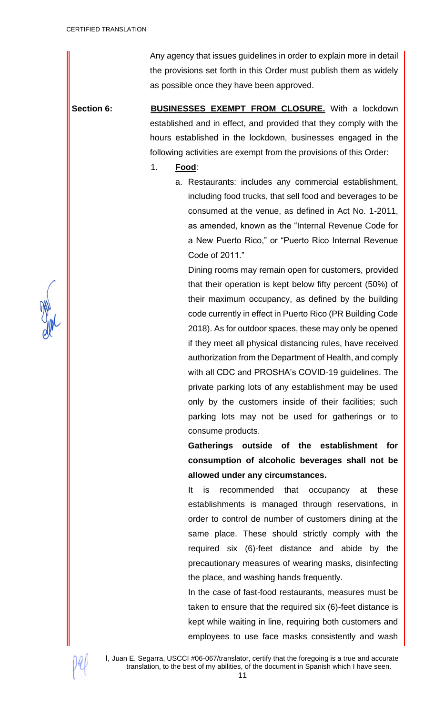Any agency that issues guidelines in order to explain more in detail the provisions set forth in this Order must publish them as widely as possible once they have been approved.

**Section 6: BUSINESSES EXEMPT FROM CLOSURE.** With a lockdown established and in effect, and provided that they comply with the hours established in the lockdown, businesses engaged in the following activities are exempt from the provisions of this Order:

## 1. **Food**:

a. Restaurants: includes any commercial establishment, including food trucks, that sell food and beverages to be consumed at the venue, as defined in Act No. 1-2011, as amended, known as the "Internal Revenue Code for a New Puerto Rico," or "Puerto Rico Internal Revenue Code of 2011."

Dining rooms may remain open for customers, provided that their operation is kept below fifty percent (50%) of their maximum occupancy, as defined by the building code currently in effect in Puerto Rico (PR Building Code 2018). As for outdoor spaces, these may only be opened if they meet all physical distancing rules, have received authorization from the Department of Health, and comply with all CDC and PROSHA's COVID-19 guidelines. The private parking lots of any establishment may be used only by the customers inside of their facilities; such parking lots may not be used for gatherings or to consume products.

**Gatherings outside of the establishment for consumption of alcoholic beverages shall not be allowed under any circumstances.**

It is recommended that occupancy at these establishments is managed through reservations, in order to control de number of customers dining at the same place. These should strictly comply with the required six (6)-feet distance and abide by the precautionary measures of wearing masks, disinfecting the place, and washing hands frequently.

In the case of fast-food restaurants, measures must be taken to ensure that the required six (6)-feet distance is kept while waiting in line, requiring both customers and employees to use face masks consistently and wash



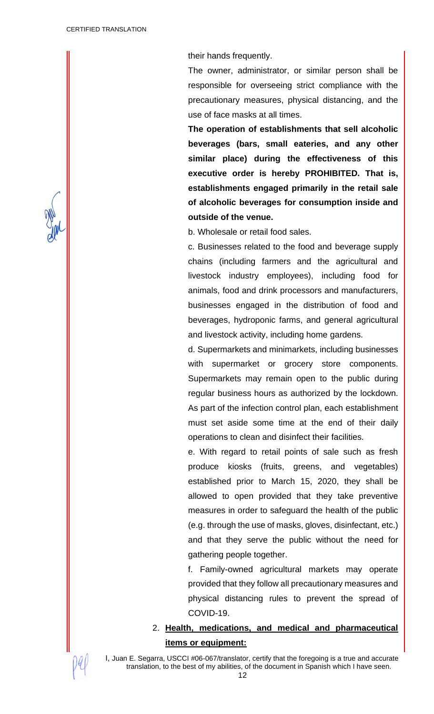their hands frequently.

The owner, administrator, or similar person shall be responsible for overseeing strict compliance with the precautionary measures, physical distancing, and the use of face masks at all times.

**The operation of establishments that sell alcoholic beverages (bars, small eateries, and any other similar place) during the effectiveness of this executive order is hereby PROHIBITED. That is, establishments engaged primarily in the retail sale of alcoholic beverages for consumption inside and outside of the venue.**

b. Wholesale or retail food sales.

c. Businesses related to the food and beverage supply chains (including farmers and the agricultural and livestock industry employees), including food for animals, food and drink processors and manufacturers, businesses engaged in the distribution of food and beverages, hydroponic farms, and general agricultural and livestock activity, including home gardens.

d. Supermarkets and minimarkets, including businesses with supermarket or grocery store components. Supermarkets may remain open to the public during regular business hours as authorized by the lockdown. As part of the infection control plan, each establishment must set aside some time at the end of their daily operations to clean and disinfect their facilities.

e. With regard to retail points of sale such as fresh produce kiosks (fruits, greens, and vegetables) established prior to March 15, 2020, they shall be allowed to open provided that they take preventive measures in order to safeguard the health of the public (e.g. through the use of masks, gloves, disinfectant, etc.) and that they serve the public without the need for gathering people together.

f. Family-owned agricultural markets may operate provided that they follow all precautionary measures and physical distancing rules to prevent the spread of COVID-19.

2. **Health, medications, and medical and pharmaceutical items or equipment:**

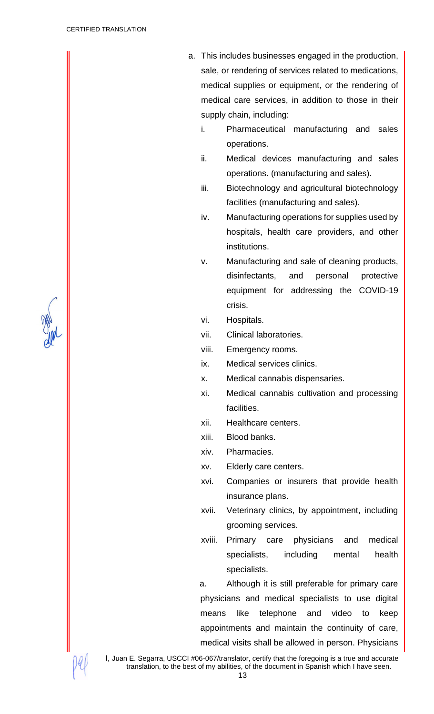- a. This includes businesses engaged in the production, sale, or rendering of services related to medications, medical supplies or equipment, or the rendering of medical care services, in addition to those in their supply chain, including:
	- i. Pharmaceutical manufacturing and sales operations.
	- ii. Medical devices manufacturing and sales operations. (manufacturing and sales).
	- iii. Biotechnology and agricultural biotechnology facilities (manufacturing and sales).
	- iv. Manufacturing operations for supplies used by hospitals, health care providers, and other institutions.
	- v. Manufacturing and sale of cleaning products, disinfectants, and personal protective equipment for addressing the COVID-19 crisis.
	- vi. Hospitals.
	- vii. Clinical laboratories.
	- viii. Emergency rooms.
	- ix. Medical services clinics.
	- x. Medical cannabis dispensaries.
	- xi. Medical cannabis cultivation and processing facilities.
	- xii. Healthcare centers.
	- xiii. Blood banks.
	- xiv. Pharmacies.
	- xv. Elderly care centers.
	- xvi. Companies or insurers that provide health insurance plans.
	- xvii. Veterinary clinics, by appointment, including grooming services.
	- xviii. Primary care physicians and medical specialists, including mental health specialists.

a. Although it is still preferable for primary care physicians and medical specialists to use digital means like telephone and video to keep appointments and maintain the continuity of care, medical visits shall be allowed in person. Physicians

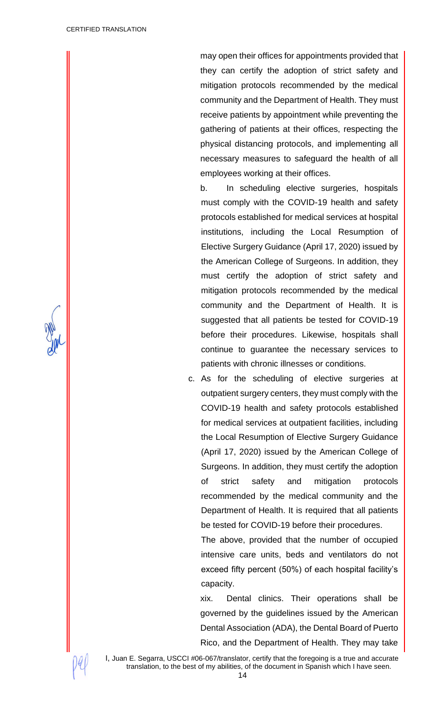may open their offices for appointments provided that they can certify the adoption of strict safety and mitigation protocols recommended by the medical community and the Department of Health. They must receive patients by appointment while preventing the gathering of patients at their offices, respecting the physical distancing protocols, and implementing all necessary measures to safeguard the health of all employees working at their offices.

b. In scheduling elective surgeries, hospitals must comply with the COVID-19 health and safety protocols established for medical services at hospital institutions, including the Local Resumption of Elective Surgery Guidance (April 17, 2020) issued by the American College of Surgeons. In addition, they must certify the adoption of strict safety and mitigation protocols recommended by the medical community and the Department of Health. It is suggested that all patients be tested for COVID-19 before their procedures. Likewise, hospitals shall continue to guarantee the necessary services to patients with chronic illnesses or conditions.

c. As for the scheduling of elective surgeries at outpatient surgery centers, they must comply with the COVID-19 health and safety protocols established for medical services at outpatient facilities, including the Local Resumption of Elective Surgery Guidance (April 17, 2020) issued by the American College of Surgeons. In addition, they must certify the adoption of strict safety and mitigation protocols recommended by the medical community and the Department of Health. It is required that all patients be tested for COVID-19 before their procedures.

The above, provided that the number of occupied intensive care units, beds and ventilators do not exceed fifty percent (50%) of each hospital facility's capacity.

xix. Dental clinics. Their operations shall be governed by the guidelines issued by the American Dental Association (ADA), the Dental Board of Puerto Rico, and the Department of Health. They may take

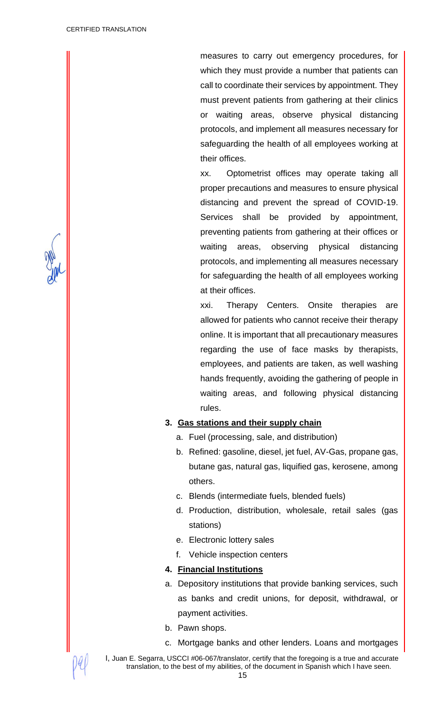measures to carry out emergency procedures, for which they must provide a number that patients can call to coordinate their services by appointment. They must prevent patients from gathering at their clinics or waiting areas, observe physical distancing protocols, and implement all measures necessary for safeguarding the health of all employees working at their offices.

xx. Optometrist offices may operate taking all proper precautions and measures to ensure physical distancing and prevent the spread of COVID-19. Services shall be provided by appointment, preventing patients from gathering at their offices or waiting areas, observing physical distancing protocols, and implementing all measures necessary for safeguarding the health of all employees working at their offices.

xxi. Therapy Centers. Onsite therapies are allowed for patients who cannot receive their therapy online. It is important that all precautionary measures regarding the use of face masks by therapists, employees, and patients are taken, as well washing hands frequently, avoiding the gathering of people in waiting areas, and following physical distancing rules.

#### **3. Gas stations and their supply chain**

- a. Fuel (processing, sale, and distribution)
- b. Refined: gasoline, diesel, jet fuel, AV-Gas, propane gas, butane gas, natural gas, liquified gas, kerosene, among others.
- c. Blends (intermediate fuels, blended fuels)
- d. Production, distribution, wholesale, retail sales (gas stations)
- e. Electronic lottery sales
- f. Vehicle inspection centers

#### **4. Financial Institutions**

- a. Depository institutions that provide banking services, such as banks and credit unions, for deposit, withdrawal, or payment activities.
- b. Pawn shops.
- c. Mortgage banks and other lenders. Loans and mortgages

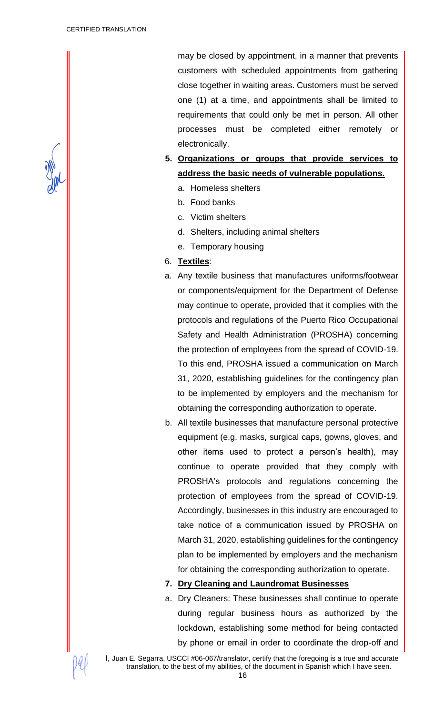may be closed by appointment, in a manner that prevents customers with scheduled appointments from gathering close together in waiting areas. Customers must be served one (1) at a time, and appointments shall be limited to requirements that could only be met in person. All other processes must be completed either remotely or electronically.

- **5. Organizations or groups that provide services to address the basic needs of vulnerable populations.**
	- a. Homeless shelters
	- b. Food banks
	- c. Victim shelters
	- d. Shelters, including animal shelters
	- e. Temporary housing
- 6. **Textiles**:
- a. Any textile business that manufactures uniforms/footwear or components/equipment for the Department of Defense may continue to operate, provided that it complies with the protocols and regulations of the Puerto Rico Occupational Safety and Health Administration (PROSHA) concerning the protection of employees from the spread of COVID-19. To this end, PROSHA issued a communication on March 31, 2020, establishing guidelines for the contingency plan to be implemented by employers and the mechanism for obtaining the corresponding authorization to operate.
- b. All textile businesses that manufacture personal protective equipment (e.g. masks, surgical caps, gowns, gloves, and other items used to protect a person's health), may continue to operate provided that they comply with PROSHA's protocols and regulations concerning the protection of employees from the spread of COVID-19. Accordingly, businesses in this industry are encouraged to take notice of a communication issued by PROSHA on March 31, 2020, establishing guidelines for the contingency plan to be implemented by employers and the mechanism for obtaining the corresponding authorization to operate.

#### **7. Dry Cleaning and Laundromat Businesses**

a. Dry Cleaners: These businesses shall continue to operate during regular business hours as authorized by the lockdown, establishing some method for being contacted by phone or email in order to coordinate the drop-off and

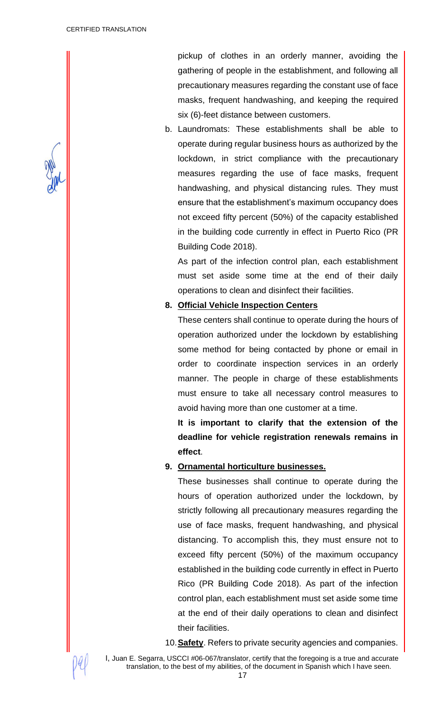pickup of clothes in an orderly manner, avoiding the gathering of people in the establishment, and following all precautionary measures regarding the constant use of face masks, frequent handwashing, and keeping the required six (6)-feet distance between customers.

b. Laundromats: These establishments shall be able to operate during regular business hours as authorized by the lockdown, in strict compliance with the precautionary measures regarding the use of face masks, frequent handwashing, and physical distancing rules. They must ensure that the establishment's maximum occupancy does not exceed fifty percent (50%) of the capacity established in the building code currently in effect in Puerto Rico (PR Building Code 2018).

As part of the infection control plan, each establishment must set aside some time at the end of their daily operations to clean and disinfect their facilities.

## **8. Official Vehicle Inspection Centers**

These centers shall continue to operate during the hours of operation authorized under the lockdown by establishing some method for being contacted by phone or email in order to coordinate inspection services in an orderly manner. The people in charge of these establishments must ensure to take all necessary control measures to avoid having more than one customer at a time.

**It is important to clarify that the extension of the deadline for vehicle registration renewals remains in effect**.

## **9. Ornamental horticulture businesses.**

These businesses shall continue to operate during the hours of operation authorized under the lockdown, by strictly following all precautionary measures regarding the use of face masks, frequent handwashing, and physical distancing. To accomplish this, they must ensure not to exceed fifty percent (50%) of the maximum occupancy established in the building code currently in effect in Puerto Rico (PR Building Code 2018). As part of the infection control plan, each establishment must set aside some time at the end of their daily operations to clean and disinfect their facilities.

10.**Safety**. Refers to private security agencies and companies.

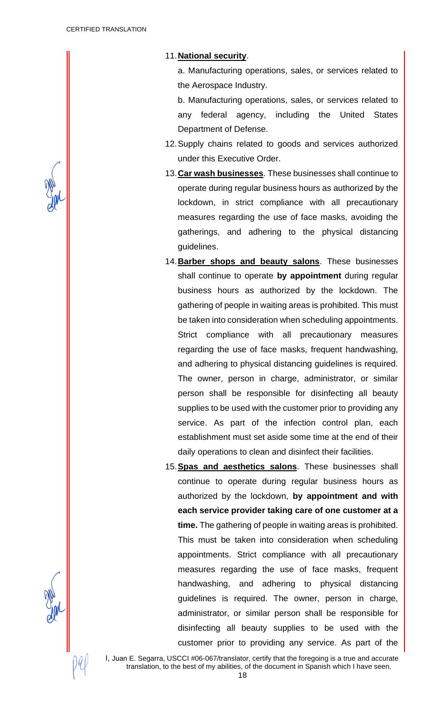11.**National security**.

a. Manufacturing operations, sales, or services related to the Aerospace Industry.

b. Manufacturing operations, sales, or services related to any federal agency, including the United States Department of Defense.

- 12.Supply chains related to goods and services authorized under this Executive Order.
- 13.**Car wash businesses**. These businesses shall continue to operate during regular business hours as authorized by the lockdown, in strict compliance with all precautionary measures regarding the use of face masks, avoiding the gatherings, and adhering to the physical distancing guidelines.
- 14.**Barber shops and beauty salons**. These businesses shall continue to operate **by appointment** during regular business hours as authorized by the lockdown. The gathering of people in waiting areas is prohibited. This must be taken into consideration when scheduling appointments. Strict compliance with all precautionary measures regarding the use of face masks, frequent handwashing, and adhering to physical distancing guidelines is required. The owner, person in charge, administrator, or similar person shall be responsible for disinfecting all beauty supplies to be used with the customer prior to providing any service. As part of the infection control plan, each establishment must set aside some time at the end of their daily operations to clean and disinfect their facilities.
- 15.**Spas and aesthetics salons**. These businesses shall continue to operate during regular business hours as authorized by the lockdown, **by appointment and with each service provider taking care of one customer at a time.** The gathering of people in waiting areas is prohibited. This must be taken into consideration when scheduling appointments. Strict compliance with all precautionary measures regarding the use of face masks, frequent handwashing, and adhering to physical distancing guidelines is required. The owner, person in charge, administrator, or similar person shall be responsible for disinfecting all beauty supplies to be used with the customer prior to providing any service. As part of the

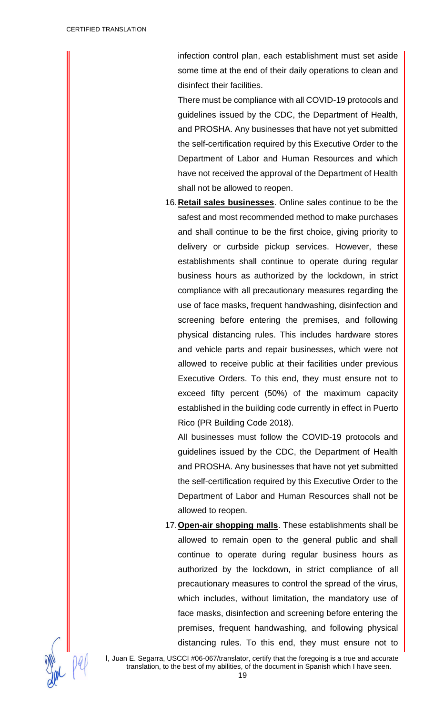infection control plan, each establishment must set aside some time at the end of their daily operations to clean and disinfect their facilities.

There must be compliance with all COVID-19 protocols and guidelines issued by the CDC, the Department of Health, and PROSHA. Any businesses that have not yet submitted the self-certification required by this Executive Order to the Department of Labor and Human Resources and which have not received the approval of the Department of Health shall not be allowed to reopen.

16.**Retail sales businesses**. Online sales continue to be the safest and most recommended method to make purchases and shall continue to be the first choice, giving priority to delivery or curbside pickup services. However, these establishments shall continue to operate during regular business hours as authorized by the lockdown, in strict compliance with all precautionary measures regarding the use of face masks, frequent handwashing, disinfection and screening before entering the premises, and following physical distancing rules. This includes hardware stores and vehicle parts and repair businesses, which were not allowed to receive public at their facilities under previous Executive Orders. To this end, they must ensure not to exceed fifty percent (50%) of the maximum capacity established in the building code currently in effect in Puerto Rico (PR Building Code 2018).

All businesses must follow the COVID-19 protocols and guidelines issued by the CDC, the Department of Health and PROSHA. Any businesses that have not yet submitted the self-certification required by this Executive Order to the Department of Labor and Human Resources shall not be allowed to reopen.

17.**Open-air shopping malls**. These establishments shall be allowed to remain open to the general public and shall continue to operate during regular business hours as authorized by the lockdown, in strict compliance of all precautionary measures to control the spread of the virus, which includes, without limitation, the mandatory use of face masks, disinfection and screening before entering the premises, frequent handwashing, and following physical distancing rules. To this end, they must ensure not to

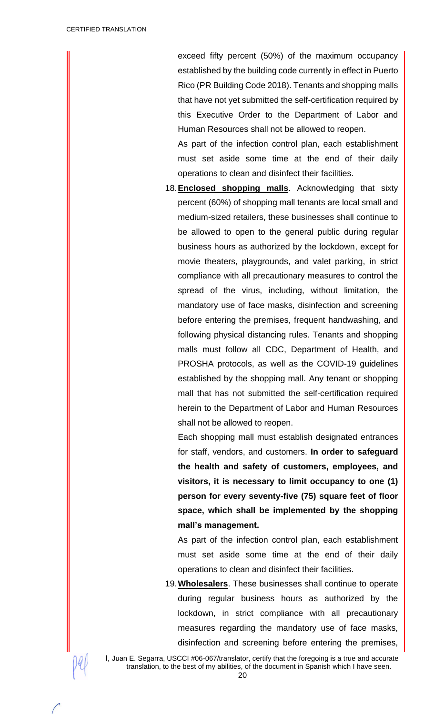exceed fifty percent (50%) of the maximum occupancy established by the building code currently in effect in Puerto Rico (PR Building Code 2018). Tenants and shopping malls that have not yet submitted the self-certification required by this Executive Order to the Department of Labor and Human Resources shall not be allowed to reopen.

As part of the infection control plan, each establishment must set aside some time at the end of their daily operations to clean and disinfect their facilities.

18.**Enclosed shopping malls**. Acknowledging that sixty percent (60%) of shopping mall tenants are local small and medium-sized retailers, these businesses shall continue to be allowed to open to the general public during regular business hours as authorized by the lockdown, except for movie theaters, playgrounds, and valet parking, in strict compliance with all precautionary measures to control the spread of the virus, including, without limitation, the mandatory use of face masks, disinfection and screening before entering the premises, frequent handwashing, and following physical distancing rules. Tenants and shopping malls must follow all CDC, Department of Health, and PROSHA protocols, as well as the COVID-19 guidelines established by the shopping mall. Any tenant or shopping mall that has not submitted the self-certification required herein to the Department of Labor and Human Resources shall not be allowed to reopen.

Each shopping mall must establish designated entrances for staff, vendors, and customers. **In order to safeguard the health and safety of customers, employees, and visitors, it is necessary to limit occupancy to one (1) person for every seventy-five (75) square feet of floor space, which shall be implemented by the shopping mall's management.**

As part of the infection control plan, each establishment must set aside some time at the end of their daily operations to clean and disinfect their facilities.

19.**Wholesalers**. These businesses shall continue to operate during regular business hours as authorized by the lockdown, in strict compliance with all precautionary measures regarding the mandatory use of face masks, disinfection and screening before entering the premises,

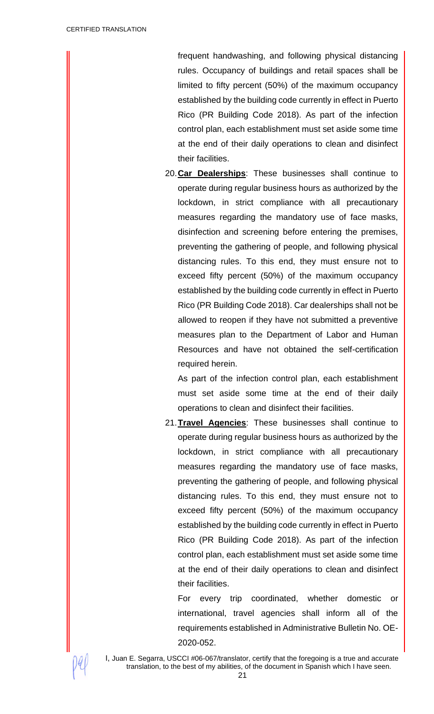frequent handwashing, and following physical distancing rules. Occupancy of buildings and retail spaces shall be limited to fifty percent (50%) of the maximum occupancy established by the building code currently in effect in Puerto Rico (PR Building Code 2018). As part of the infection control plan, each establishment must set aside some time at the end of their daily operations to clean and disinfect their facilities.

20.**Car Dealerships**: These businesses shall continue to operate during regular business hours as authorized by the lockdown, in strict compliance with all precautionary measures regarding the mandatory use of face masks, disinfection and screening before entering the premises, preventing the gathering of people, and following physical distancing rules. To this end, they must ensure not to exceed fifty percent (50%) of the maximum occupancy established by the building code currently in effect in Puerto Rico (PR Building Code 2018). Car dealerships shall not be allowed to reopen if they have not submitted a preventive measures plan to the Department of Labor and Human Resources and have not obtained the self-certification required herein.

As part of the infection control plan, each establishment must set aside some time at the end of their daily operations to clean and disinfect their facilities.

21.**Travel Agencies**: These businesses shall continue to operate during regular business hours as authorized by the lockdown, in strict compliance with all precautionary measures regarding the mandatory use of face masks, preventing the gathering of people, and following physical distancing rules. To this end, they must ensure not to exceed fifty percent (50%) of the maximum occupancy established by the building code currently in effect in Puerto Rico (PR Building Code 2018). As part of the infection control plan, each establishment must set aside some time at the end of their daily operations to clean and disinfect their facilities.

For every trip coordinated, whether domestic or international, travel agencies shall inform all of the requirements established in Administrative Bulletin No. OE-2020-052.

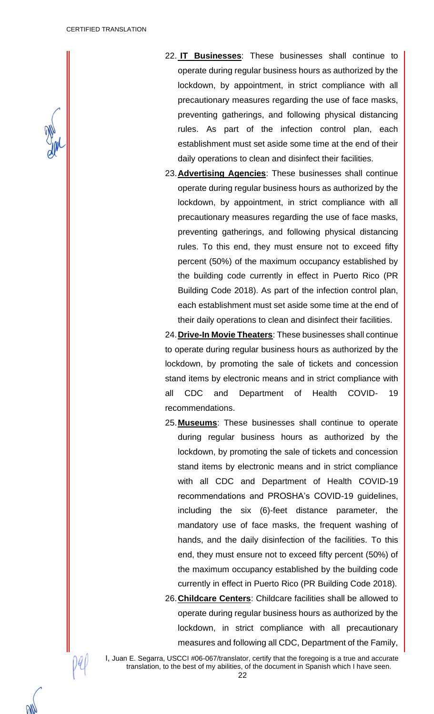

- 22. **IT Businesses**: These businesses shall continue to operate during regular business hours as authorized by the lockdown, by appointment, in strict compliance with all precautionary measures regarding the use of face masks, preventing gatherings, and following physical distancing rules. As part of the infection control plan, each establishment must set aside some time at the end of their daily operations to clean and disinfect their facilities.
- 23.**Advertising Agencies**: These businesses shall continue operate during regular business hours as authorized by the lockdown, by appointment, in strict compliance with all precautionary measures regarding the use of face masks, preventing gatherings, and following physical distancing rules. To this end, they must ensure not to exceed fifty percent (50%) of the maximum occupancy established by the building code currently in effect in Puerto Rico (PR Building Code 2018). As part of the infection control plan, each establishment must set aside some time at the end of their daily operations to clean and disinfect their facilities.

24.**Drive-In Movie Theaters**: These businesses shall continue to operate during regular business hours as authorized by the lockdown, by promoting the sale of tickets and concession stand items by electronic means and in strict compliance with all CDC and Department of Health COVID- 19 recommendations.

- 25.**Museums**: These businesses shall continue to operate during regular business hours as authorized by the lockdown, by promoting the sale of tickets and concession stand items by electronic means and in strict compliance with all CDC and Department of Health COVID-19 recommendations and PROSHA's COVID-19 guidelines, including the six (6)-feet distance parameter, the mandatory use of face masks, the frequent washing of hands, and the daily disinfection of the facilities. To this end, they must ensure not to exceed fifty percent (50%) of the maximum occupancy established by the building code currently in effect in Puerto Rico (PR Building Code 2018).
- 26.**Childcare Centers**: Childcare facilities shall be allowed to operate during regular business hours as authorized by the lockdown, in strict compliance with all precautionary measures and following all CDC, Department of the Family,

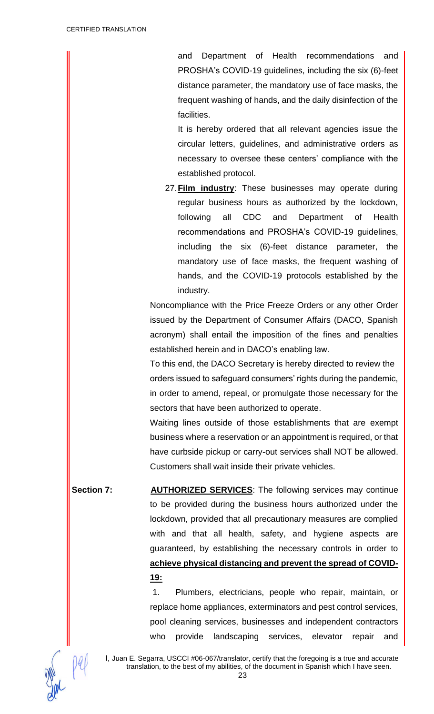and Department of Health recommendations and PROSHA's COVID-19 guidelines, including the six (6)-feet distance parameter, the mandatory use of face masks, the frequent washing of hands, and the daily disinfection of the facilities.

It is hereby ordered that all relevant agencies issue the circular letters, guidelines, and administrative orders as necessary to oversee these centers' compliance with the established protocol.

27.**Film industry**: These businesses may operate during regular business hours as authorized by the lockdown, following all CDC and Department of Health recommendations and PROSHA's COVID-19 guidelines, including the six (6)-feet distance parameter, the mandatory use of face masks, the frequent washing of hands, and the COVID-19 protocols established by the industry.

Noncompliance with the Price Freeze Orders or any other Order issued by the Department of Consumer Affairs (DACO, Spanish acronym) shall entail the imposition of the fines and penalties established herein and in DACO's enabling law.

To this end, the DACO Secretary is hereby directed to review the orders issued to safeguard consumers' rights during the pandemic, in order to amend, repeal, or promulgate those necessary for the sectors that have been authorized to operate.

Waiting lines outside of those establishments that are exempt business where a reservation or an appointment is required, or that have curbside pickup or carry-out services shall NOT be allowed. Customers shall wait inside their private vehicles.

**Section 7: AUTHORIZED SERVICES:** The following services may continue to be provided during the business hours authorized under the lockdown, provided that all precautionary measures are complied with and that all health, safety, and hygiene aspects are guaranteed, by establishing the necessary controls in order to **achieve physical distancing and prevent the spread of COVID-19:**

> 1. Plumbers, electricians, people who repair, maintain, or replace home appliances, exterminators and pest control services, pool cleaning services, businesses and independent contractors who provide landscaping services, elevator repair and

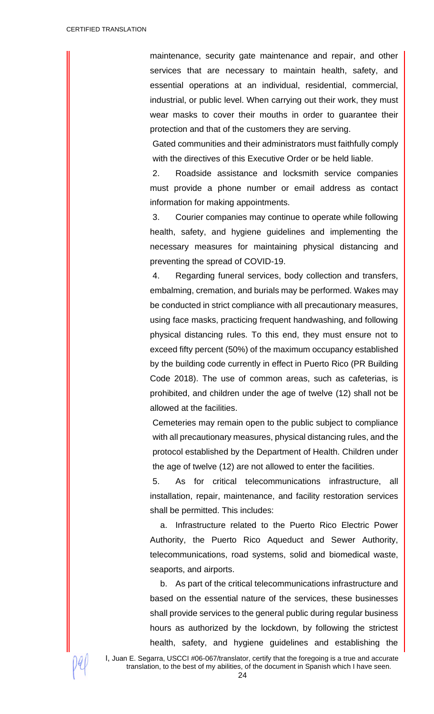maintenance, security gate maintenance and repair, and other services that are necessary to maintain health, safety, and essential operations at an individual, residential, commercial, industrial, or public level. When carrying out their work, they must wear masks to cover their mouths in order to guarantee their protection and that of the customers they are serving.

Gated communities and their administrators must faithfully comply with the directives of this Executive Order or be held liable.

2. Roadside assistance and locksmith service companies must provide a phone number or email address as contact information for making appointments.

3. Courier companies may continue to operate while following health, safety, and hygiene guidelines and implementing the necessary measures for maintaining physical distancing and preventing the spread of COVID-19.

4. Regarding funeral services, body collection and transfers, embalming, cremation, and burials may be performed. Wakes may be conducted in strict compliance with all precautionary measures, using face masks, practicing frequent handwashing, and following physical distancing rules. To this end, they must ensure not to exceed fifty percent (50%) of the maximum occupancy established by the building code currently in effect in Puerto Rico (PR Building Code 2018). The use of common areas, such as cafeterias, is prohibited, and children under the age of twelve (12) shall not be allowed at the facilities.

Cemeteries may remain open to the public subject to compliance with all precautionary measures, physical distancing rules, and the protocol established by the Department of Health. Children under the age of twelve (12) are not allowed to enter the facilities.

5. As for critical telecommunications infrastructure, all installation, repair, maintenance, and facility restoration services shall be permitted. This includes:

a. Infrastructure related to the Puerto Rico Electric Power Authority, the Puerto Rico Aqueduct and Sewer Authority, telecommunications, road systems, solid and biomedical waste, seaports, and airports.

b. As part of the critical telecommunications infrastructure and based on the essential nature of the services, these businesses shall provide services to the general public during regular business hours as authorized by the lockdown, by following the strictest health, safety, and hygiene guidelines and establishing the

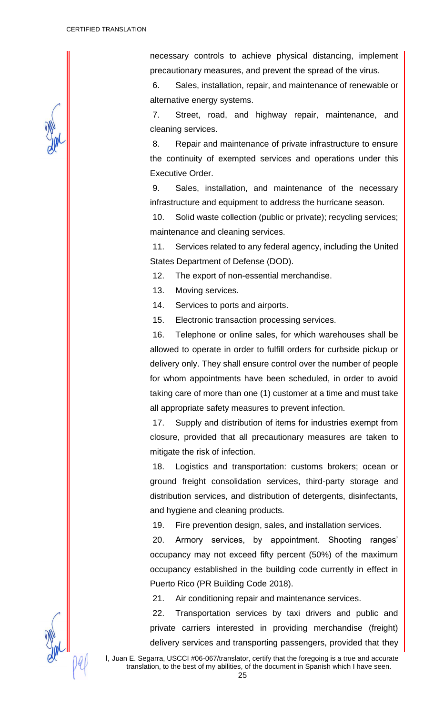necessary controls to achieve physical distancing, implement precautionary measures, and prevent the spread of the virus.

6. Sales, installation, repair, and maintenance of renewable or alternative energy systems.

7. Street, road, and highway repair, maintenance, and cleaning services.

8. Repair and maintenance of private infrastructure to ensure the continuity of exempted services and operations under this Executive Order.

9. Sales, installation, and maintenance of the necessary infrastructure and equipment to address the hurricane season.

10. Solid waste collection (public or private); recycling services; maintenance and cleaning services.

11. Services related to any federal agency, including the United States Department of Defense (DOD).

12. The export of non-essential merchandise.

13. Moving services.

14. Services to ports and airports.

15. Electronic transaction processing services.

16. Telephone or online sales, for which warehouses shall be allowed to operate in order to fulfill orders for curbside pickup or delivery only. They shall ensure control over the number of people for whom appointments have been scheduled, in order to avoid taking care of more than one (1) customer at a time and must take all appropriate safety measures to prevent infection.

17. Supply and distribution of items for industries exempt from closure, provided that all precautionary measures are taken to mitigate the risk of infection.

18. Logistics and transportation: customs brokers; ocean or ground freight consolidation services, third-party storage and distribution services, and distribution of detergents, disinfectants, and hygiene and cleaning products.

19. Fire prevention design, sales, and installation services.

20. Armory services, by appointment. Shooting ranges' occupancy may not exceed fifty percent (50%) of the maximum occupancy established in the building code currently in effect in Puerto Rico (PR Building Code 2018).

21. Air conditioning repair and maintenance services.

22. Transportation services by taxi drivers and public and private carriers interested in providing merchandise (freight) delivery services and transporting passengers, provided that they

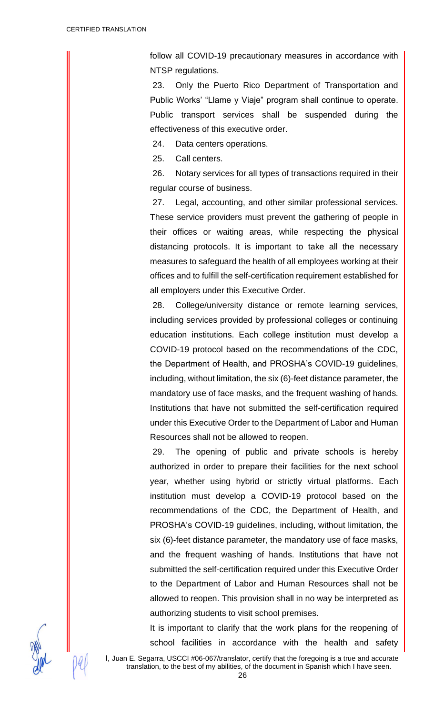follow all COVID-19 precautionary measures in accordance with NTSP regulations.

23. Only the Puerto Rico Department of Transportation and Public Works' "Llame y Viaje" program shall continue to operate. Public transport services shall be suspended during the effectiveness of this executive order.

24. Data centers operations.

25. Call centers.

26. Notary services for all types of transactions required in their regular course of business.

27. Legal, accounting, and other similar professional services. These service providers must prevent the gathering of people in their offices or waiting areas, while respecting the physical distancing protocols. It is important to take all the necessary measures to safeguard the health of all employees working at their offices and to fulfill the self-certification requirement established for all employers under this Executive Order.

28. College/university distance or remote learning services, including services provided by professional colleges or continuing education institutions. Each college institution must develop a COVID-19 protocol based on the recommendations of the CDC, the Department of Health, and PROSHA's COVID-19 guidelines, including, without limitation, the six (6)-feet distance parameter, the mandatory use of face masks, and the frequent washing of hands. Institutions that have not submitted the self-certification required under this Executive Order to the Department of Labor and Human Resources shall not be allowed to reopen.

29. The opening of public and private schools is hereby authorized in order to prepare their facilities for the next school year, whether using hybrid or strictly virtual platforms. Each institution must develop a COVID-19 protocol based on the recommendations of the CDC, the Department of Health, and PROSHA's COVID-19 guidelines, including, without limitation, the six (6)-feet distance parameter, the mandatory use of face masks, and the frequent washing of hands. Institutions that have not submitted the self-certification required under this Executive Order to the Department of Labor and Human Resources shall not be allowed to reopen. This provision shall in no way be interpreted as authorizing students to visit school premises.

It is important to clarify that the work plans for the reopening of school facilities in accordance with the health and safety



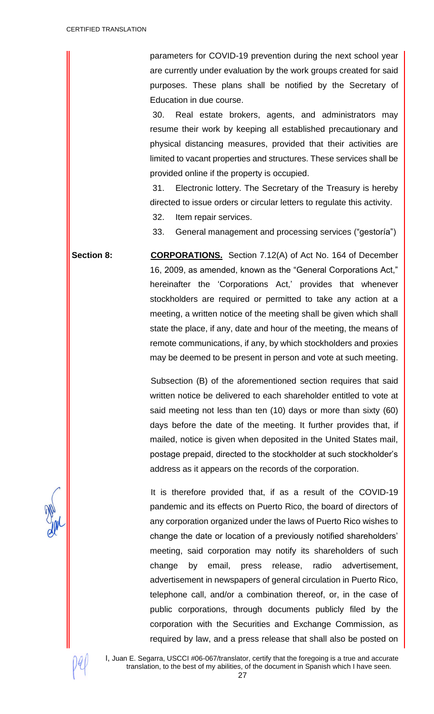parameters for COVID-19 prevention during the next school year are currently under evaluation by the work groups created for said purposes. These plans shall be notified by the Secretary of Education in due course.

30. Real estate brokers, agents, and administrators may resume their work by keeping all established precautionary and physical distancing measures, provided that their activities are limited to vacant properties and structures. These services shall be provided online if the property is occupied.

31. Electronic lottery. The Secretary of the Treasury is hereby directed to issue orders or circular letters to regulate this activity.

32. Item repair services.

33. General management and processing services ("gestoría")

Section 8: **CORPORATIONS.** Section 7.12(A) of Act No. 164 of December 16, 2009, as amended, known as the "General Corporations Act," hereinafter the 'Corporations Act,' provides that whenever stockholders are required or permitted to take any action at a meeting, a written notice of the meeting shall be given which shall state the place, if any, date and hour of the meeting, the means of remote communications, if any, by which stockholders and proxies may be deemed to be present in person and vote at such meeting.

> Subsection (B) of the aforementioned section requires that said written notice be delivered to each shareholder entitled to vote at said meeting not less than ten (10) days or more than sixty (60) days before the date of the meeting. It further provides that, if mailed, notice is given when deposited in the United States mail, postage prepaid, directed to the stockholder at such stockholder's address as it appears on the records of the corporation.

> It is therefore provided that, if as a result of the COVID-19 pandemic and its effects on Puerto Rico, the board of directors of any corporation organized under the laws of Puerto Rico wishes to change the date or location of a previously notified shareholders' meeting, said corporation may notify its shareholders of such change by email, press release, radio advertisement, advertisement in newspapers of general circulation in Puerto Rico, telephone call, and/or a combination thereof, or, in the case of public corporations, through documents publicly filed by the corporation with the Securities and Exchange Commission, as required by law, and a press release that shall also be posted on

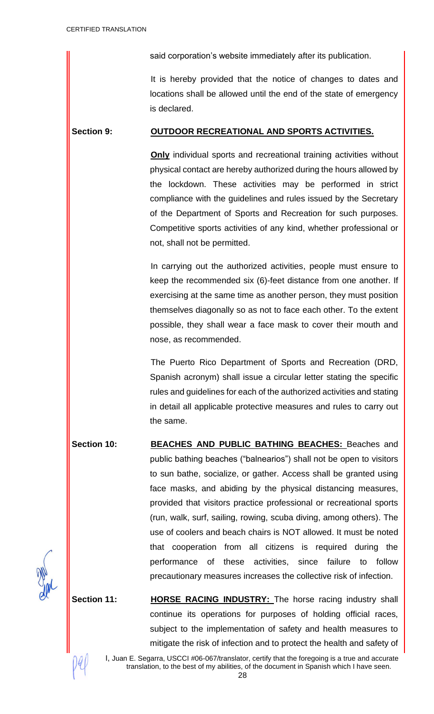said corporation's website immediately after its publication.

It is hereby provided that the notice of changes to dates and locations shall be allowed until the end of the state of emergency is declared.

## **Section 9: OUTDOOR RECREATIONAL AND SPORTS ACTIVITIES.**

**Only** individual sports and recreational training activities without physical contact are hereby authorized during the hours allowed by the lockdown. These activities may be performed in strict compliance with the guidelines and rules issued by the Secretary of the Department of Sports and Recreation for such purposes. Competitive sports activities of any kind, whether professional or not, shall not be permitted.

In carrying out the authorized activities, people must ensure to keep the recommended six (6)-feet distance from one another. If exercising at the same time as another person, they must position themselves diagonally so as not to face each other. To the extent possible, they shall wear a face mask to cover their mouth and nose, as recommended.

The Puerto Rico Department of Sports and Recreation (DRD, Spanish acronym) shall issue a circular letter stating the specific rules and guidelines for each of the authorized activities and stating in detail all applicable protective measures and rules to carry out the same.

**Section 10: BEACHES AND PUBLIC BATHING BEACHES:** Beaches and public bathing beaches ("balnearios") shall not be open to visitors to sun bathe, socialize, or gather. Access shall be granted using face masks, and abiding by the physical distancing measures, provided that visitors practice professional or recreational sports (run, walk, surf, sailing, rowing, scuba diving, among others). The use of coolers and beach chairs is NOT allowed. It must be noted that cooperation from all citizens is required during the performance of these activities, since failure to follow precautionary measures increases the collective risk of infection.

**Section 11: HORSE RACING INDUSTRY:** The horse racing industry shall continue its operations for purposes of holding official races, subject to the implementation of safety and health measures to mitigate the risk of infection and to protect the health and safety of

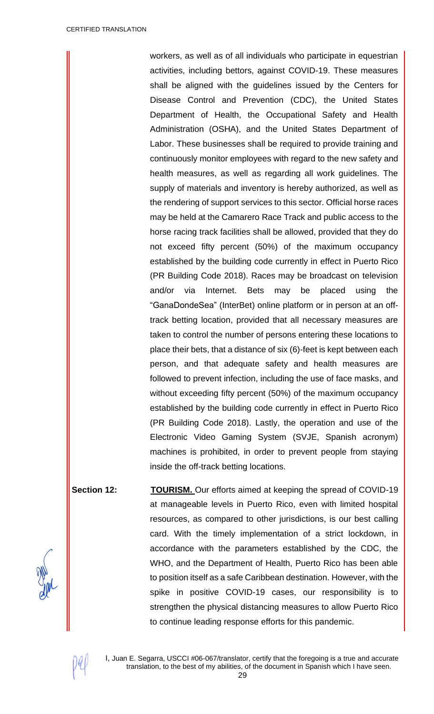workers, as well as of all individuals who participate in equestrian activities, including bettors, against COVID-19. These measures shall be aligned with the guidelines issued by the Centers for Disease Control and Prevention (CDC), the United States Department of Health, the Occupational Safety and Health Administration (OSHA), and the United States Department of Labor. These businesses shall be required to provide training and continuously monitor employees with regard to the new safety and health measures, as well as regarding all work guidelines. The supply of materials and inventory is hereby authorized, as well as the rendering of support services to this sector. Official horse races may be held at the Camarero Race Track and public access to the horse racing track facilities shall be allowed, provided that they do not exceed fifty percent (50%) of the maximum occupancy established by the building code currently in effect in Puerto Rico (PR Building Code 2018). Races may be broadcast on television and/or via Internet. Bets may be placed using the "GanaDondeSea" (InterBet) online platform or in person at an offtrack betting location, provided that all necessary measures are taken to control the number of persons entering these locations to place their bets, that a distance of six (6)-feet is kept between each person, and that adequate safety and health measures are followed to prevent infection, including the use of face masks, and without exceeding fifty percent (50%) of the maximum occupancy established by the building code currently in effect in Puerto Rico (PR Building Code 2018). Lastly, the operation and use of the Electronic Video Gaming System (SVJE, Spanish acronym) machines is prohibited, in order to prevent people from staying inside the off-track betting locations.

**Section 12: TOURISM.** Our efforts aimed at keeping the spread of COVID-19 at manageable levels in Puerto Rico, even with limited hospital resources, as compared to other jurisdictions, is our best calling card. With the timely implementation of a strict lockdown, in accordance with the parameters established by the CDC, the WHO, and the Department of Health, Puerto Rico has been able to position itself as a safe Caribbean destination. However, with the spike in positive COVID-19 cases, our responsibility is to strengthen the physical distancing measures to allow Puerto Rico to continue leading response efforts for this pandemic.

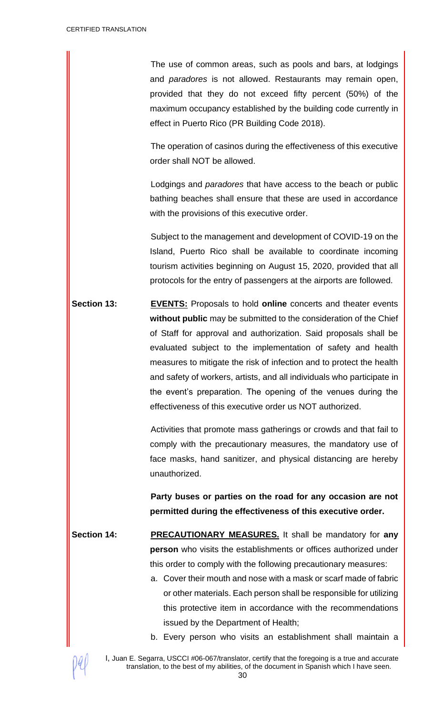The use of common areas, such as pools and bars, at lodgings and *paradores* is not allowed. Restaurants may remain open, provided that they do not exceed fifty percent (50%) of the maximum occupancy established by the building code currently in effect in Puerto Rico (PR Building Code 2018).

The operation of casinos during the effectiveness of this executive order shall NOT be allowed.

Lodgings and *paradores* that have access to the beach or public bathing beaches shall ensure that these are used in accordance with the provisions of this executive order.

Subject to the management and development of COVID-19 on the Island, Puerto Rico shall be available to coordinate incoming tourism activities beginning on August 15, 2020, provided that all protocols for the entry of passengers at the airports are followed.

**Section 13: EVENTS:** Proposals to hold **online** concerts and theater events **without public** may be submitted to the consideration of the Chief of Staff for approval and authorization. Said proposals shall be evaluated subject to the implementation of safety and health measures to mitigate the risk of infection and to protect the health and safety of workers, artists, and all individuals who participate in the event's preparation. The opening of the venues during the effectiveness of this executive order us NOT authorized.

> Activities that promote mass gatherings or crowds and that fail to comply with the precautionary measures, the mandatory use of face masks, hand sanitizer, and physical distancing are hereby unauthorized.

> **Party buses or parties on the road for any occasion are not permitted during the effectiveness of this executive order.**

- **Section 14: PRECAUTIONARY MEASURES.** It shall be mandatory for **any person** who visits the establishments or offices authorized under this order to comply with the following precautionary measures:
	- a. Cover their mouth and nose with a mask or scarf made of fabric or other materials. Each person shall be responsible for utilizing this protective item in accordance with the recommendations issued by the Department of Health;
	- b. Every person who visits an establishment shall maintain a

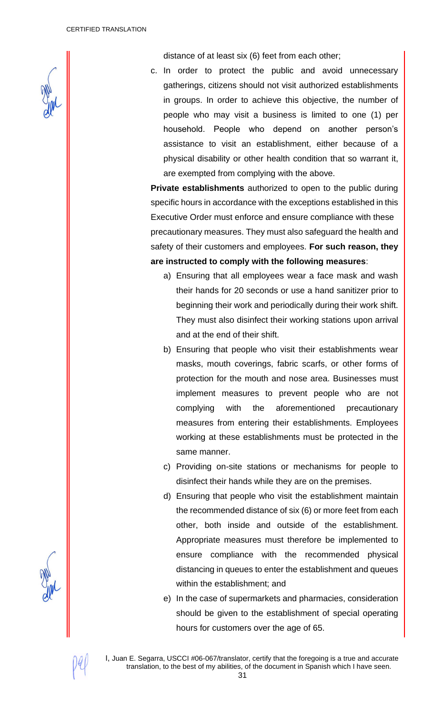

distance of at least six (6) feet from each other;

c. In order to protect the public and avoid unnecessary gatherings, citizens should not visit authorized establishments in groups. In order to achieve this objective, the number of people who may visit a business is limited to one (1) per household. People who depend on another person's assistance to visit an establishment, either because of a physical disability or other health condition that so warrant it, are exempted from complying with the above.

**Private establishments** authorized to open to the public during specific hours in accordance with the exceptions established in this Executive Order must enforce and ensure compliance with these precautionary measures. They must also safeguard the health and safety of their customers and employees. **For such reason, they are instructed to comply with the following measures**:

- a) Ensuring that all employees wear a face mask and wash their hands for 20 seconds or use a hand sanitizer prior to beginning their work and periodically during their work shift. They must also disinfect their working stations upon arrival and at the end of their shift.
- b) Ensuring that people who visit their establishments wear masks, mouth coverings, fabric scarfs, or other forms of protection for the mouth and nose area. Businesses must implement measures to prevent people who are not complying with the aforementioned precautionary measures from entering their establishments. Employees working at these establishments must be protected in the same manner.
- c) Providing on-site stations or mechanisms for people to disinfect their hands while they are on the premises.
- d) Ensuring that people who visit the establishment maintain the recommended distance of six (6) or more feet from each other, both inside and outside of the establishment. Appropriate measures must therefore be implemented to ensure compliance with the recommended physical distancing in queues to enter the establishment and queues within the establishment; and
- e) In the case of supermarkets and pharmacies, consideration should be given to the establishment of special operating hours for customers over the age of 65.

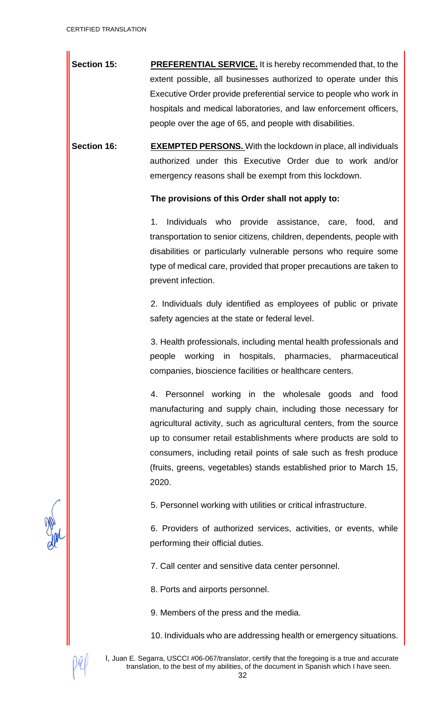**Section 15: PREFERENTIAL SERVICE.** It is hereby recommended that, to the extent possible, all businesses authorized to operate under this Executive Order provide preferential service to people who work in hospitals and medical laboratories, and law enforcement officers, people over the age of 65, and people with disabilities.

**Section 16: EXEMPTED PERSONS.** With the lockdown in place, all individuals authorized under this Executive Order due to work and/or emergency reasons shall be exempt from this lockdown.

**The provisions of this Order shall not apply to:**

1. Individuals who provide assistance, care, food, and transportation to senior citizens, children, dependents, people with disabilities or particularly vulnerable persons who require some type of medical care, provided that proper precautions are taken to prevent infection.

2. Individuals duly identified as employees of public or private safety agencies at the state or federal level.

3. Health professionals, including mental health professionals and people working in hospitals, pharmacies, pharmaceutical companies, bioscience facilities or healthcare centers.

4. Personnel working in the wholesale goods and food manufacturing and supply chain, including those necessary for agricultural activity, such as agricultural centers, from the source up to consumer retail establishments where products are sold to consumers, including retail points of sale such as fresh produce (fruits, greens, vegetables) stands established prior to March 15, 2020.

5. Personnel working with utilities or critical infrastructure.

6. Providers of authorized services, activities, or events, while performing their official duties.

7. Call center and sensitive data center personnel.

8. Ports and airports personnel.

9. Members of the press and the media.

10. Individuals who are addressing health or emergency situations.

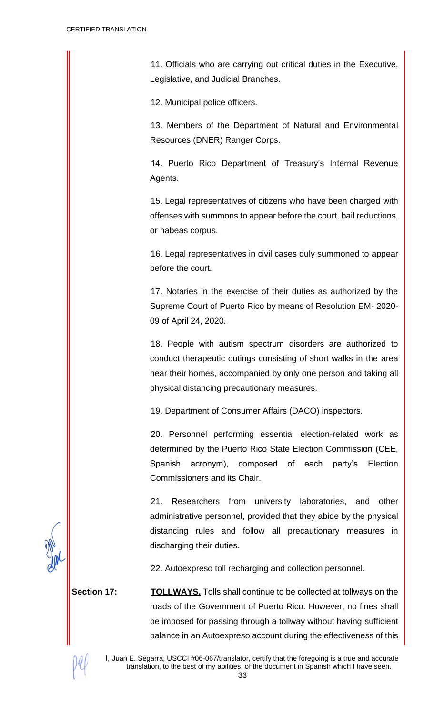11. Officials who are carrying out critical duties in the Executive, Legislative, and Judicial Branches.

12. Municipal police officers.

13. Members of the Department of Natural and Environmental Resources (DNER) Ranger Corps.

14. Puerto Rico Department of Treasury's Internal Revenue Agents.

15. Legal representatives of citizens who have been charged with offenses with summons to appear before the court, bail reductions, or habeas corpus.

16. Legal representatives in civil cases duly summoned to appear before the court.

17. Notaries in the exercise of their duties as authorized by the Supreme Court of Puerto Rico by means of Resolution EM- 2020- 09 of April 24, 2020.

18. People with autism spectrum disorders are authorized to conduct therapeutic outings consisting of short walks in the area near their homes, accompanied by only one person and taking all physical distancing precautionary measures.

19. Department of Consumer Affairs (DACO) inspectors.

20. Personnel performing essential election-related work as determined by the Puerto Rico State Election Commission (CEE, Spanish acronym), composed of each party's Election Commissioners and its Chair.

21. Researchers from university laboratories, and other administrative personnel, provided that they abide by the physical distancing rules and follow all precautionary measures in discharging their duties.

22. Autoexpreso toll recharging and collection personnel.

**Section 17: TOLLWAYS.** Tolls shall continue to be collected at tollways on the roads of the Government of Puerto Rico. However, no fines shall be imposed for passing through a tollway without having sufficient balance in an Autoexpreso account during the effectiveness of this

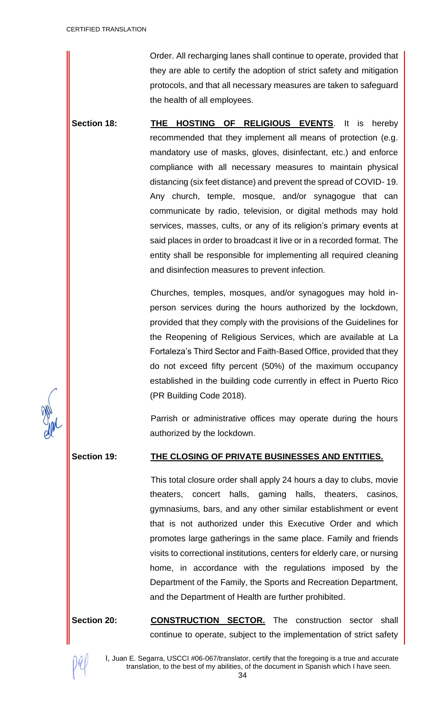Order. All recharging lanes shall continue to operate, provided that they are able to certify the adoption of strict safety and mitigation protocols, and that all necessary measures are taken to safeguard the health of all employees.

**Section 18: THE HOSTING OF RELIGIOUS EVENTS**. It is hereby recommended that they implement all means of protection (e.g. mandatory use of masks, gloves, disinfectant, etc.) and enforce compliance with all necessary measures to maintain physical distancing (six feet distance) and prevent the spread of COVID- 19. Any church, temple, mosque, and/or synagogue that can communicate by radio, television, or digital methods may hold services, masses, cults, or any of its religion's primary events at said places in order to broadcast it live or in a recorded format. The entity shall be responsible for implementing all required cleaning and disinfection measures to prevent infection.

> Churches, temples, mosques, and/or synagogues may hold inperson services during the hours authorized by the lockdown, provided that they comply with the provisions of the Guidelines for the Reopening of Religious Services, which are available at La Fortaleza's Third Sector and Faith-Based Office, provided that they do not exceed fifty percent (50%) of the maximum occupancy established in the building code currently in effect in Puerto Rico (PR Building Code 2018).

> Parrish or administrative offices may operate during the hours authorized by the lockdown.

## **Section 19: THE CLOSING OF PRIVATE BUSINESSES AND ENTITIES.**

This total closure order shall apply 24 hours a day to clubs, movie theaters, concert halls, gaming halls, theaters, casinos, gymnasiums, bars, and any other similar establishment or event that is not authorized under this Executive Order and which promotes large gatherings in the same place. Family and friends visits to correctional institutions, centers for elderly care, or nursing home, in accordance with the regulations imposed by the Department of the Family, the Sports and Recreation Department, and the Department of Health are further prohibited.

Section 20: **CONSTRUCTION SECTOR.** The construction sector shall continue to operate, subject to the implementation of strict safety

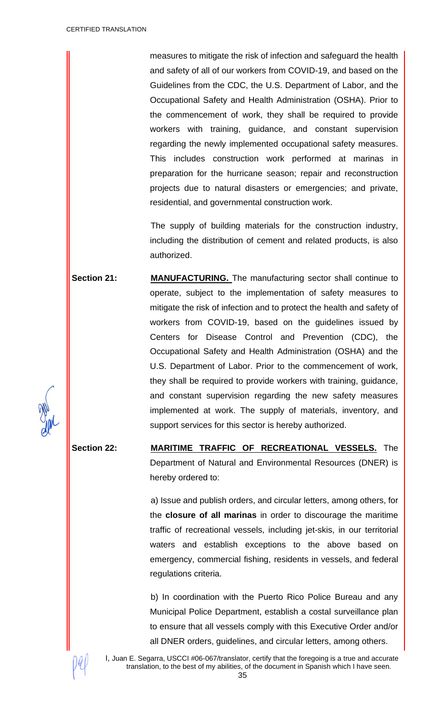measures to mitigate the risk of infection and safeguard the health and safety of all of our workers from COVID-19, and based on the Guidelines from the CDC, the U.S. Department of Labor, and the Occupational Safety and Health Administration (OSHA). Prior to the commencement of work, they shall be required to provide workers with training, guidance, and constant supervision regarding the newly implemented occupational safety measures. This includes construction work performed at marinas in preparation for the hurricane season; repair and reconstruction projects due to natural disasters or emergencies; and private, residential, and governmental construction work.

The supply of building materials for the construction industry, including the distribution of cement and related products, is also authorized.

**Section 21: MANUFACTURING.** The manufacturing sector shall continue to operate, subject to the implementation of safety measures to mitigate the risk of infection and to protect the health and safety of workers from COVID-19, based on the guidelines issued by Centers for Disease Control and Prevention (CDC), the Occupational Safety and Health Administration (OSHA) and the U.S. Department of Labor. Prior to the commencement of work, they shall be required to provide workers with training, guidance, and constant supervision regarding the new safety measures implemented at work. The supply of materials, inventory, and support services for this sector is hereby authorized.

**Section 22: MARITIME TRAFFIC OF RECREATIONAL VESSELS.** The Department of Natural and Environmental Resources (DNER) is hereby ordered to:

> a) Issue and publish orders, and circular letters, among others, for the **closure of all marinas** in order to discourage the maritime traffic of recreational vessels, including jet-skis, in our territorial waters and establish exceptions to the above based on emergency, commercial fishing, residents in vessels, and federal regulations criteria.

> b) In coordination with the Puerto Rico Police Bureau and any Municipal Police Department, establish a costal surveillance plan to ensure that all vessels comply with this Executive Order and/or all DNER orders, guidelines, and circular letters, among others.

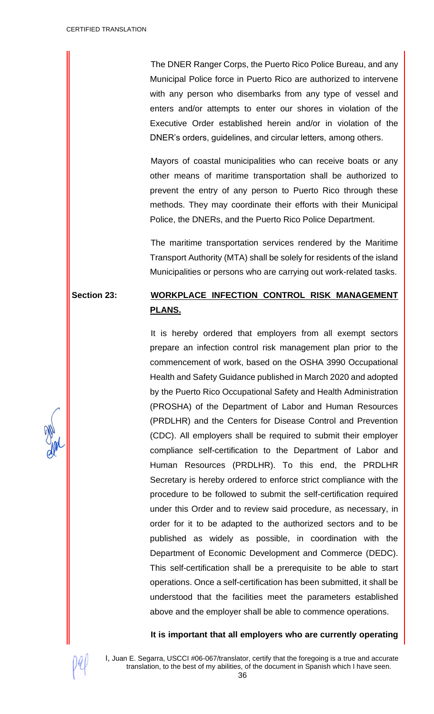The DNER Ranger Corps, the Puerto Rico Police Bureau, and any Municipal Police force in Puerto Rico are authorized to intervene with any person who disembarks from any type of vessel and enters and/or attempts to enter our shores in violation of the Executive Order established herein and/or in violation of the DNER's orders, guidelines, and circular letters, among others.

Mayors of coastal municipalities who can receive boats or any other means of maritime transportation shall be authorized to prevent the entry of any person to Puerto Rico through these methods. They may coordinate their efforts with their Municipal Police, the DNERs, and the Puerto Rico Police Department.

The maritime transportation services rendered by the Maritime Transport Authority (MTA) shall be solely for residents of the island Municipalities or persons who are carrying out work-related tasks.

# **Section 23: WORKPLACE INFECTION CONTROL RISK MANAGEMENT PLANS.**

It is hereby ordered that employers from all exempt sectors prepare an infection control risk management plan prior to the commencement of work, based on the OSHA 3990 Occupational Health and Safety Guidance published in March 2020 and adopted by the Puerto Rico Occupational Safety and Health Administration (PROSHA) of the Department of Labor and Human Resources (PRDLHR) and the Centers for Disease Control and Prevention (CDC). All employers shall be required to submit their employer compliance self-certification to the Department of Labor and Human Resources (PRDLHR). To this end, the PRDLHR Secretary is hereby ordered to enforce strict compliance with the procedure to be followed to submit the self-certification required under this Order and to review said procedure, as necessary, in order for it to be adapted to the authorized sectors and to be published as widely as possible, in coordination with the Department of Economic Development and Commerce (DEDC). This self-certification shall be a prerequisite to be able to start operations. Once a self-certification has been submitted, it shall be understood that the facilities meet the parameters established above and the employer shall be able to commence operations.

## **It is important that all employers who are currently operating**

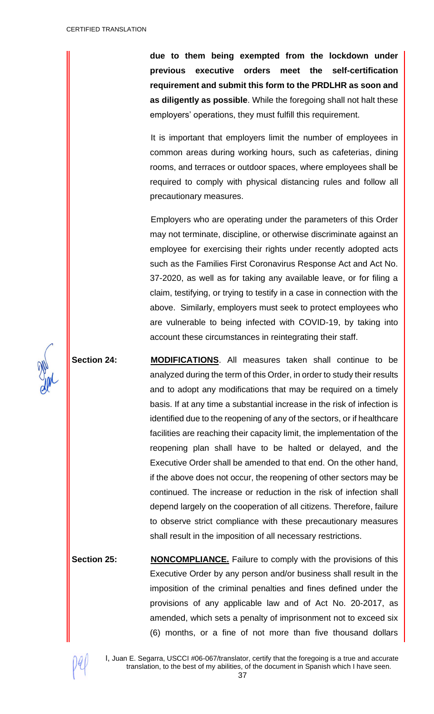**due to them being exempted from the lockdown under previous executive orders meet the self-certification requirement and submit this form to the PRDLHR as soon and as diligently as possible**. While the foregoing shall not halt these employers' operations, they must fulfill this requirement.

It is important that employers limit the number of employees in common areas during working hours, such as cafeterias, dining rooms, and terraces or outdoor spaces, where employees shall be required to comply with physical distancing rules and follow all precautionary measures.

Employers who are operating under the parameters of this Order may not terminate, discipline, or otherwise discriminate against an employee for exercising their rights under recently adopted acts such as the Families First Coronavirus Response Act and Act No. 37-2020, as well as for taking any available leave, or for filing a claim, testifying, or trying to testify in a case in connection with the above. Similarly, employers must seek to protect employees who are vulnerable to being infected with COVID-19, by taking into account these circumstances in reintegrating their staff.

**Section 24: MODIFICATIONS**. All measures taken shall continue to be analyzed during the term of this Order, in order to study their results and to adopt any modifications that may be required on a timely basis. If at any time a substantial increase in the risk of infection is identified due to the reopening of any of the sectors, or if healthcare facilities are reaching their capacity limit, the implementation of the reopening plan shall have to be halted or delayed, and the Executive Order shall be amended to that end. On the other hand, if the above does not occur, the reopening of other sectors may be continued. The increase or reduction in the risk of infection shall depend largely on the cooperation of all citizens. Therefore, failure to observe strict compliance with these precautionary measures shall result in the imposition of all necessary restrictions.

**Section 25: NONCOMPLIANCE.** Failure to comply with the provisions of this Executive Order by any person and/or business shall result in the imposition of the criminal penalties and fines defined under the provisions of any applicable law and of Act No. 20-2017, as amended, which sets a penalty of imprisonment not to exceed six (6) months, or a fine of not more than five thousand dollars



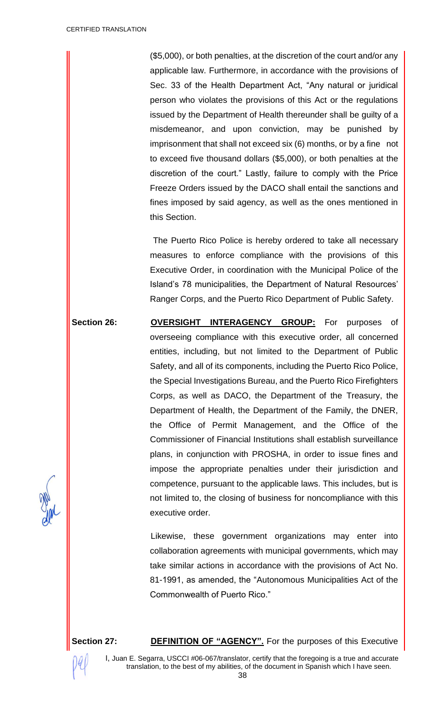(\$5,000), or both penalties, at the discretion of the court and/or any applicable law. Furthermore, in accordance with the provisions of Sec. 33 of the Health Department Act, "Any natural or juridical person who violates the provisions of this Act or the regulations issued by the Department of Health thereunder shall be guilty of a misdemeanor, and upon conviction, may be punished by imprisonment that shall not exceed six (6) months, or by a fine not to exceed five thousand dollars (\$5,000), or both penalties at the discretion of the court." Lastly, failure to comply with the Price Freeze Orders issued by the DACO shall entail the sanctions and fines imposed by said agency, as well as the ones mentioned in this Section.

The Puerto Rico Police is hereby ordered to take all necessary measures to enforce compliance with the provisions of this Executive Order, in coordination with the Municipal Police of the Island's 78 municipalities, the Department of Natural Resources' Ranger Corps, and the Puerto Rico Department of Public Safety.

**Section 26: OVERSIGHT INTERAGENCY GROUP:** For purposes of overseeing compliance with this executive order, all concerned entities, including, but not limited to the Department of Public Safety, and all of its components, including the Puerto Rico Police, the Special Investigations Bureau, and the Puerto Rico Firefighters Corps, as well as DACO, the Department of the Treasury, the Department of Health, the Department of the Family, the DNER, the Office of Permit Management, and the Office of the Commissioner of Financial Institutions shall establish surveillance plans, in conjunction with PROSHA, in order to issue fines and impose the appropriate penalties under their jurisdiction and competence, pursuant to the applicable laws. This includes, but is not limited to, the closing of business for noncompliance with this executive order.

> Likewise, these government organizations may enter into collaboration agreements with municipal governments, which may take similar actions in accordance with the provisions of Act No. 81-1991, as amended, the "Autonomous Municipalities Act of the Commonwealth of Puerto Rico."

Section 27: **DEFINITION OF "AGENCY".** For the purposes of this Executive

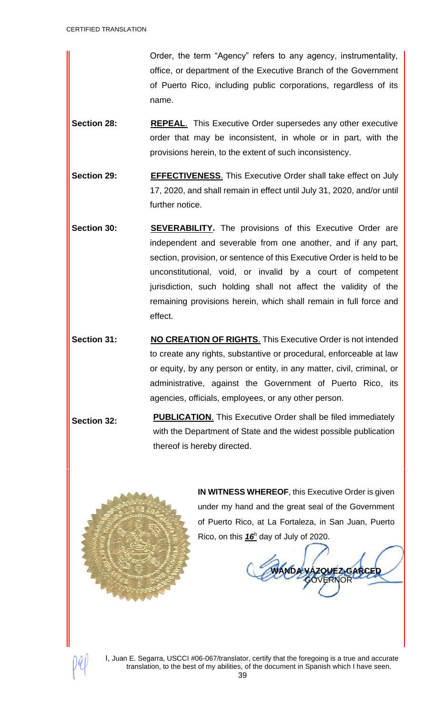Order, the term "Agency" refers to any agency, instrumentality, office, or department of the Executive Branch of the Government of Puerto Rico, including public corporations, regardless of its name.

- **Section 28: REPEAL**. This Executive Order supersedes any other executive order that may be inconsistent, in whole or in part, with the provisions herein, to the extent of such inconsistency.
- **Section 29: EFFECTIVENESS.** This Executive Order shall take effect on July 17, 2020, and shall remain in effect until July 31, 2020, and/or until further notice.
- **Section 30: SEVERABILITY.** The provisions of this Executive Order are independent and severable from one another, and if any part, section, provision, or sentence of this Executive Order is held to be unconstitutional, void, or invalid by a court of competent jurisdiction, such holding shall not affect the validity of the remaining provisions herein, which shall remain in full force and effect.
- **Section 31: NO CREATION OF RIGHTS**. This Executive Order is not intended to create any rights, substantive or procedural, enforceable at law or equity, by any person or entity, in any matter, civil, criminal, or administrative, against the Government of Puerto Rico, its agencies, officials, employees, or any other person.
- **Section 32: PUBLICATION.** This Executive Order shall be filed immediately with the Department of State and the widest possible publication thereof is hereby directed.



**IN WITNESS WHEREOF**, this Executive Order is given under my hand and the great seal of the Government of Puerto Rico, at La Fortaleza, in San Juan, Puerto Rico, on this *16<sup>h</sup>* day of July of 2020.

ZQUEZ-GARCED **GOVERNOR**